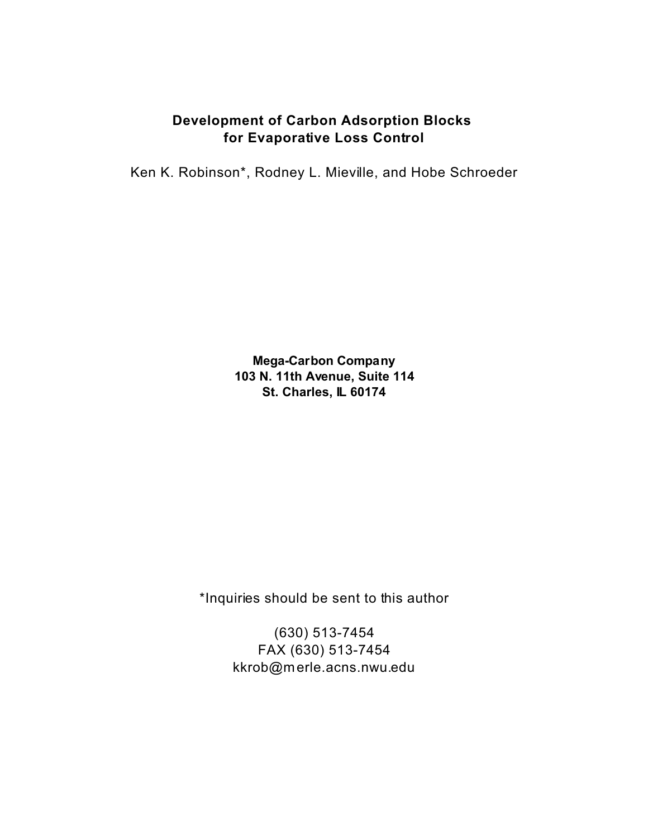# **Development of Carbon Adsorption Blocks for Evaporative Loss Control**

Ken K. Robinson\*, Rodney L. Mieville, and Hobe Schroeder

**Mega-Carbon Company 103 N. 11th Avenue, Suite 114 St. Charles, IL 60174**

\*Inquiries should be sent to this author

(630) 513-7454 FAX (630) 513-7454 kkrob@merle.acns.nwu.edu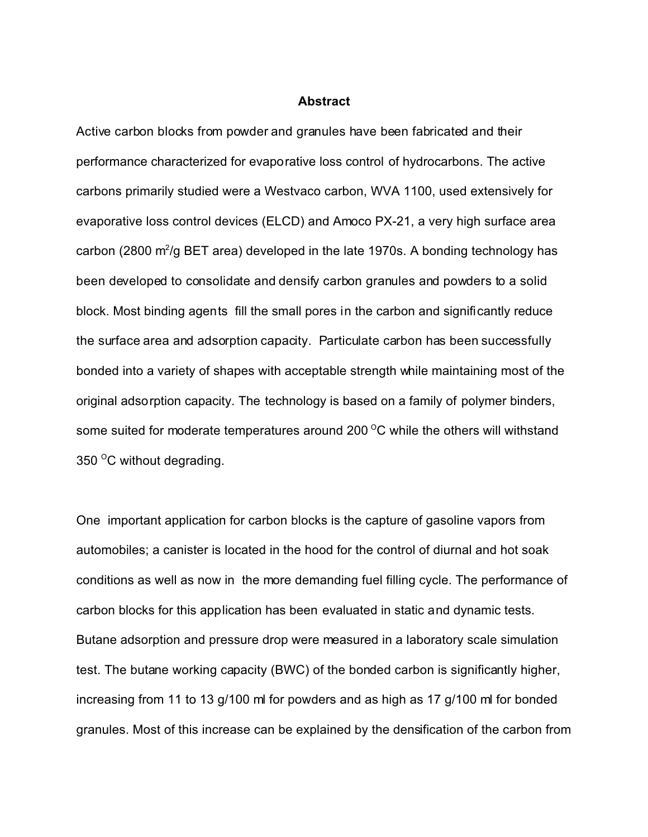#### **Abstract**

Active carbon blocks from powder and granules have been fabricated and their performance characterized for evaporative loss control of hydrocarbons. The active carbons primarily studied were a Westvaco carbon, WVA 1100, used extensively for evaporative loss control devices (ELCD) and Amoco PX-21, a very high surface area carbon (2800 m<sup>2</sup>/g BET area) developed in the late 1970s. A bonding technology has been developed to consolidate and densify carbon granules and powders to a solid block. Most binding agents fill the small pores in the carbon and significantly reduce the surface area and adsorption capacity. Particulate carbon has been successfully bonded into a variety of shapes with acceptable strength while maintaining most of the original adsorption capacity. The technology is based on a family of polymer binders, some suited for moderate temperatures around 200 $\mathrm{^{\circ}C}$  while the others will withstand 350 $\mathrm{^{\circ}C}$  without degrading.

One important application for carbon blocks is the capture of gasoline vapors from automobiles; a canister is located in the hood for the control of diurnal and hot soak conditions as well as now in the more demanding fuel filling cycle. The performance of carbon blocks for this application has been evaluated in static and dynamic tests. Butane adsorption and pressure drop were measured in a laboratory scale simulation test. The butane working capacity (BWC) of the bonded carbon is significantly higher, increasing from 11 to 13 g/100 ml for powders and as high as 17 g/100 ml for bonded granules. Most of this increase can be explained by the densification of the carbon from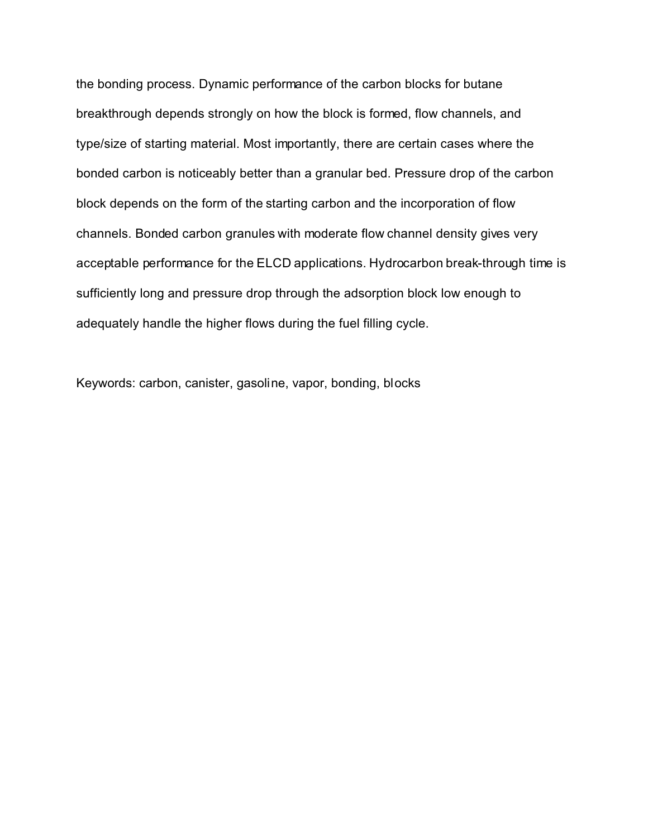the bonding process. Dynamic performance of the carbon blocks for butane breakthrough depends strongly on how the block is formed, flow channels, and type/size of starting material. Most importantly, there are certain cases where the bonded carbon is noticeably better than a granular bed. Pressure drop of the carbon block depends on the form of the starting carbon and the incorporation of flow channels. Bonded carbon granules with moderate flow channel density gives very acceptable performance for the ELCD applications. Hydrocarbon break-through time is sufficiently long and pressure drop through the adsorption block low enough to adequately handle the higher flows during the fuel filling cycle.

Keywords: carbon, canister, gasoline, vapor, bonding, blocks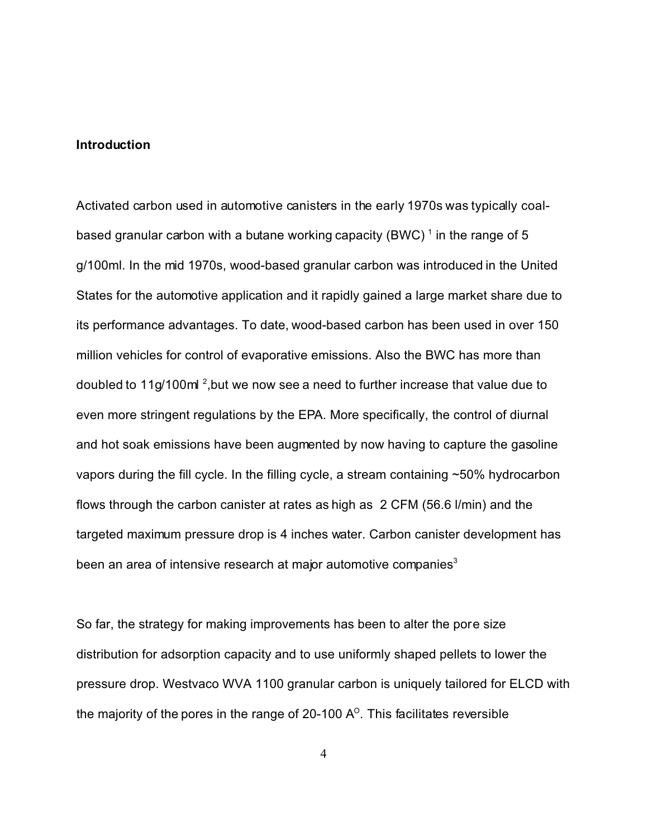### **Introduction**

Activated carbon used in automotive canisters in the early 1970s was typically coalbased granular carbon with a butane working capacity (BWC)  $^\text{1}$  in the range of 5 g/100ml. In the mid 1970s, wood-based granular carbon was introduced in the United States for the automotive application and it rapidly gained a large market share due to its performance advantages. To date, wood-based carbon has been used in over 150 million vehicles for control of evaporative emissions. Also the BWC has more than doubled to 11g/100ml<sup>2</sup>,but we now see a need to further increase that value due to even more stringent regulations by the EPA. More specifically, the control of diurnal and hot soak emissions have been augmented by now having to capture the gasoline vapors during the fill cycle. In the filling cycle, a stream containing ~50% hydrocarbon flows through the carbon canister at rates as high as 2 CFM (56.6 l/min) and the targeted maximum pressure drop is 4 inches water. Carbon canister development has been an area of intensive research at major automotive companies $3$ 

So far, the strategy for making improvements has been to alter the pore size distribution for adsorption capacity and to use uniformly shaped pellets to lower the pressure drop. Westvaco WVA 1100 granular carbon is uniquely tailored for ELCD with the majority of the pores in the range of 20-100 A $^{\circ}$ . This facilitates reversible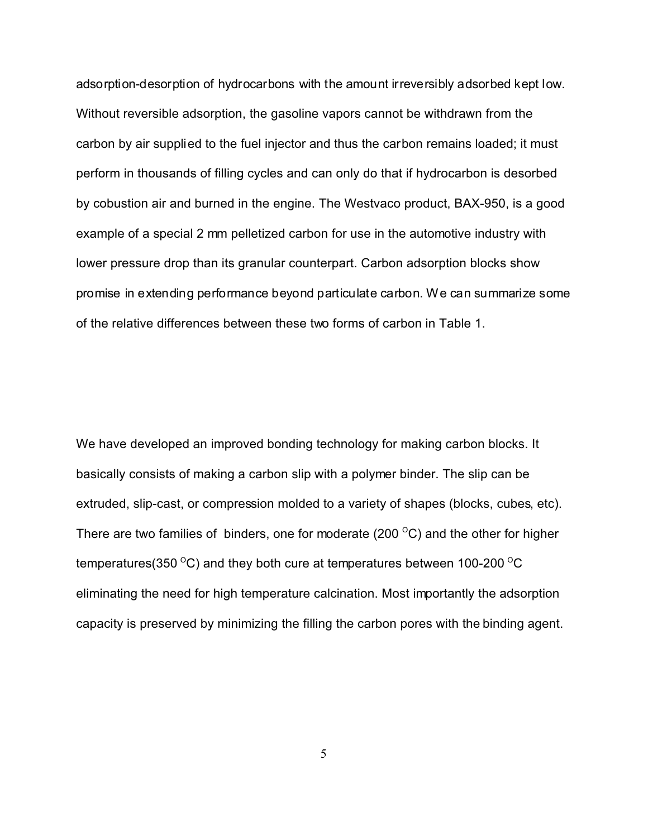adsorption-desorption of hydrocarbons with the amount irreversibly adsorbed kept low. Without reversible adsorption, the gasoline vapors cannot be withdrawn from the carbon by air supplied to the fuel injector and thus the carbon remains loaded; it must perform in thousands of filling cycles and can only do that if hydrocarbon is desorbed by cobustion air and burned in the engine. The Westvaco product, BAX-950, is a good example of a special 2 mm pelletized carbon for use in the automotive industry with lower pressure drop than its granular counterpart. Carbon adsorption blocks show promise in extending performance beyond particulate carbon. We can summarize some of the relative differences between these two forms of carbon in Table 1.

We have developed an improved bonding technology for making carbon blocks. It basically consists of making a carbon slip with a polymer binder. The slip can be extruded, slip-cast, or compression molded to a variety of shapes (blocks, cubes, etc). There are two families of binders, one for moderate (200 $\mathrm{^{\circ}C}$ ) and the other for higher temperatures(350  $\mathrm{^{\circ}C}$ ) and they both cure at temperatures between 100-200  $\mathrm{^{\circ}C}$ eliminating the need for high temperature calcination. Most importantly the adsorption capacity is preserved by minimizing the filling the carbon pores with the binding agent.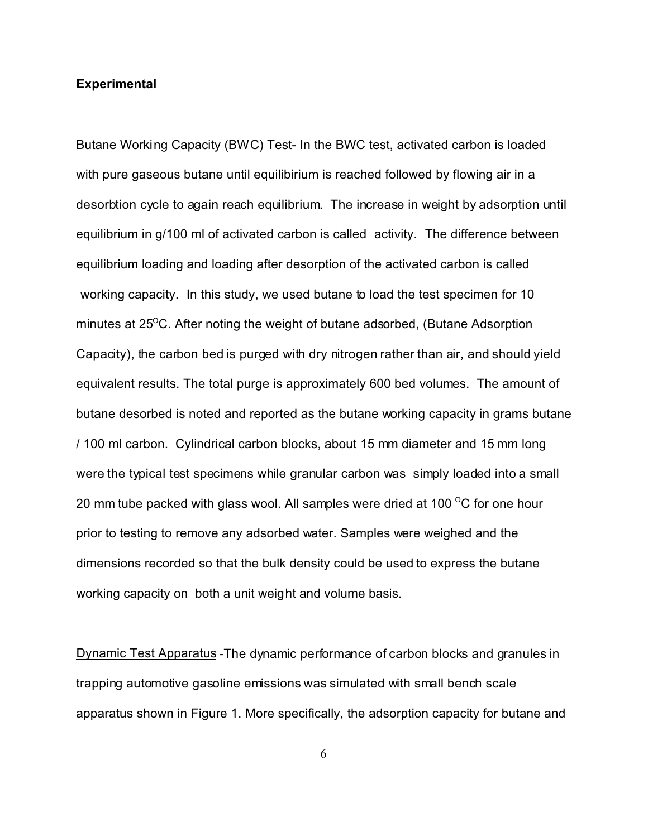## **Experimental**

Butane Working Capacity (BWC) Test- In the BWC test, activated carbon is loaded with pure gaseous butane until equilibirium is reached followed by flowing air in a desorbtion cycle to again reach equilibrium. The increase in weight by adsorption until equilibrium in g/100 ml of activated carbon is called activity. The difference between equilibrium loading and loading after desorption of the activated carbon is called working capacity. In this study, we used butane to load the test specimen for 10 minutes at  $25^{\circ}$ C. After noting the weight of butane adsorbed, (Butane Adsorption Capacity), the carbon bed is purged with dry nitrogen rather than air, and should yield equivalent results. The total purge is approximately 600 bed volumes. The amount of butane desorbed is noted and reported as the butane working capacity in grams butane / 100 ml carbon. Cylindrical carbon blocks, about 15 mm diameter and 15 mm long were the typical test specimens while granular carbon was simply loaded into a small 20 mm tube packed with glass wool. All samples were dried at 100  $\mathrm{^{\circ}C}$  for one hour prior to testing to remove any adsorbed water. Samples were weighed and the dimensions recorded so that the bulk density could be used to express the butane working capacity on both a unit weight and volume basis.

Dynamic Test Apparatus -The dynamic performance of carbon blocks and granules in trapping automotive gasoline emissions was simulated with small bench scale apparatus shown in Figure 1. More specifically, the adsorption capacity for butane and

6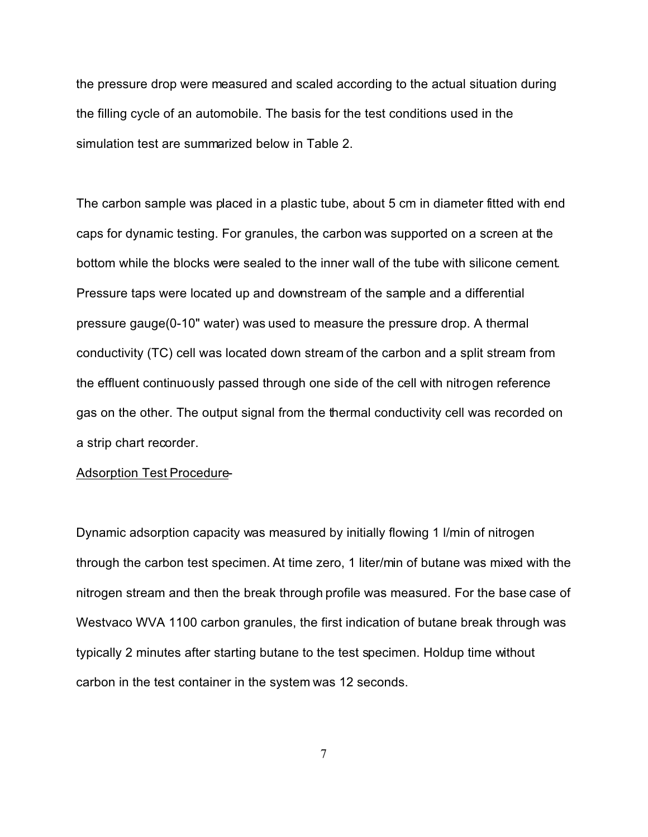the pressure drop were measured and scaled according to the actual situation during the filling cycle of an automobile. The basis for the test conditions used in the simulation test are summarized below in Table 2.

The carbon sample was placed in a plastic tube, about 5 cm in diameter fitted with end caps for dynamic testing. For granules, the carbon was supported on a screen at the bottom while the blocks were sealed to the inner wall of the tube with silicone cement. Pressure taps were located up and downstream of the sample and a differential pressure gauge(0-10" water) was used to measure the pressure drop. A thermal conductivity (TC) cell was located down stream of the carbon and a split stream from the effluent continuously passed through one side of the cell with nitrogen reference gas on the other. The output signal from the thermal conductivity cell was recorded on a strip chart recorder.

### Adsorption Test Procedure-

Dynamic adsorption capacity was measured by initially flowing 1 l/min of nitrogen through the carbon test specimen. At time zero, 1 liter/min of butane was mixed with the nitrogen stream and then the break through profile was measured. For the base case of Westvaco WVA 1100 carbon granules, the first indication of butane break through was typically 2 minutes after starting butane to the test specimen. Holdup time without carbon in the test container in the system was 12 seconds.

7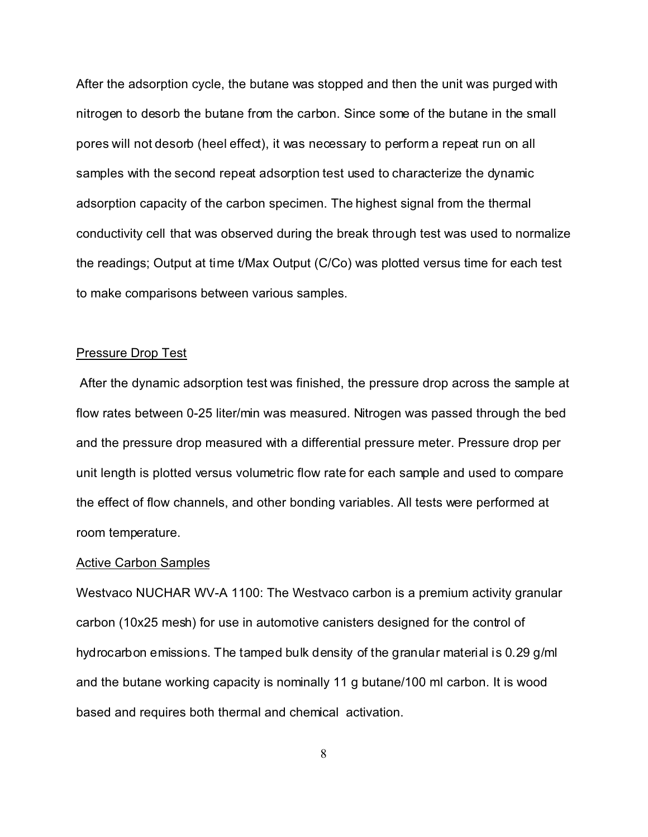After the adsorption cycle, the butane was stopped and then the unit was purged with nitrogen to desorb the butane from the carbon. Since some of the butane in the small pores will not desorb (heel effect), it was necessary to perform a repeat run on all samples with the second repeat adsorption test used to characterize the dynamic adsorption capacity of the carbon specimen. The highest signal from the thermal conductivity cell that was observed during the break through test was used to normalize the readings; Output at time t/Max Output (C/Co) was plotted versus time for each test to make comparisons between various samples.

## Pressure Drop Test

 After the dynamic adsorption test was finished, the pressure drop across the sample at flow rates between 0-25 liter/min was measured. Nitrogen was passed through the bed and the pressure drop measured with a differential pressure meter. Pressure drop per unit length is plotted versus volumetric flow rate for each sample and used to compare the effect of flow channels, and other bonding variables. All tests were performed at room temperature.

#### Active Carbon Samples

Westvaco NUCHAR WV-A 1100: The Westvaco carbon is a premium activity granular carbon (10x25 mesh) for use in automotive canisters designed for the control of hydrocarbon emissions. The tamped bulk density of the granular material is 0.29 g/ml and the butane working capacity is nominally 11 g butane/100 ml carbon. It is wood based and requires both thermal and chemical activation.

8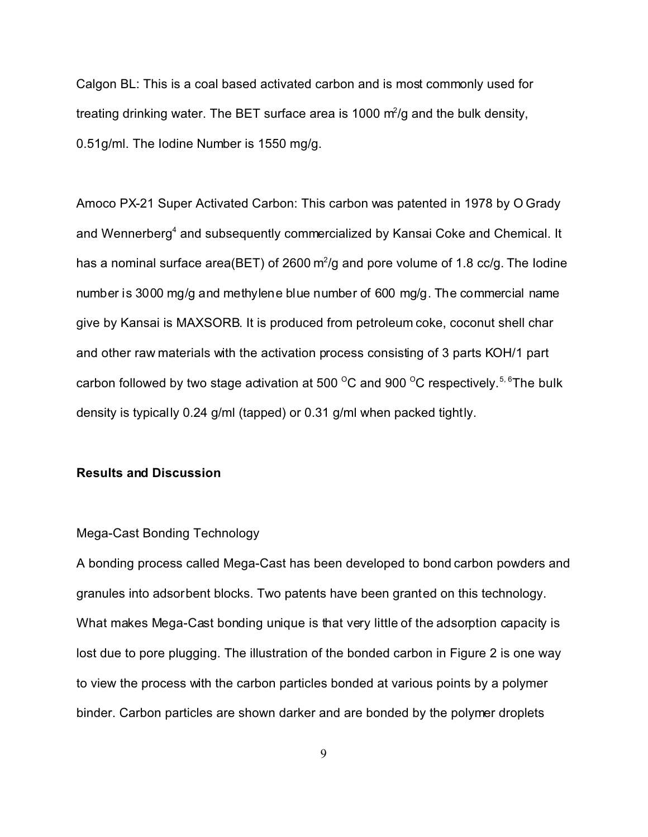Calgon BL: This is a coal based activated carbon and is most commonly used for treating drinking water. The BET surface area is 1000  $m^2$ /g and the bulk density, 0.51g/ml. The Iodine Number is 1550 mg/g.

Amoco PX-21 Super Activated Carbon: This carbon was patented in 1978 by O Grady and Wennerberg<sup>4</sup> and subsequently commercialized by Kansai Coke and Chemical. It has a nominal surface area(BET) of 2600 m<sup>2</sup>/g and pore volume of 1.8 cc/g. The lodine number is 3000 mg/g and methylene blue number of 600 mg/g. The commercial name give by Kansai is MAXSORB. It is produced from petroleum coke, coconut shell char and other raw materials with the activation process consisting of 3 parts KOH/1 part carbon followed by two stage activation at 500  $\mathrm{^{\circ}C}$  and 900  $\mathrm{^{\circ}C}$  respectively.<sup>5, 6</sup>The bulk density is typically 0.24 g/ml (tapped) or 0.31 g/ml when packed tightly.

# **Results and Discussion**

## Mega-Cast Bonding Technology

A bonding process called Mega-Cast has been developed to bond carbon powders and granules into adsorbent blocks. Two patents have been granted on this technology. What makes Mega-Cast bonding unique is that very little of the adsorption capacity is lost due to pore plugging. The illustration of the bonded carbon in Figure 2 is one way to view the process with the carbon particles bonded at various points by a polymer binder. Carbon particles are shown darker and are bonded by the polymer droplets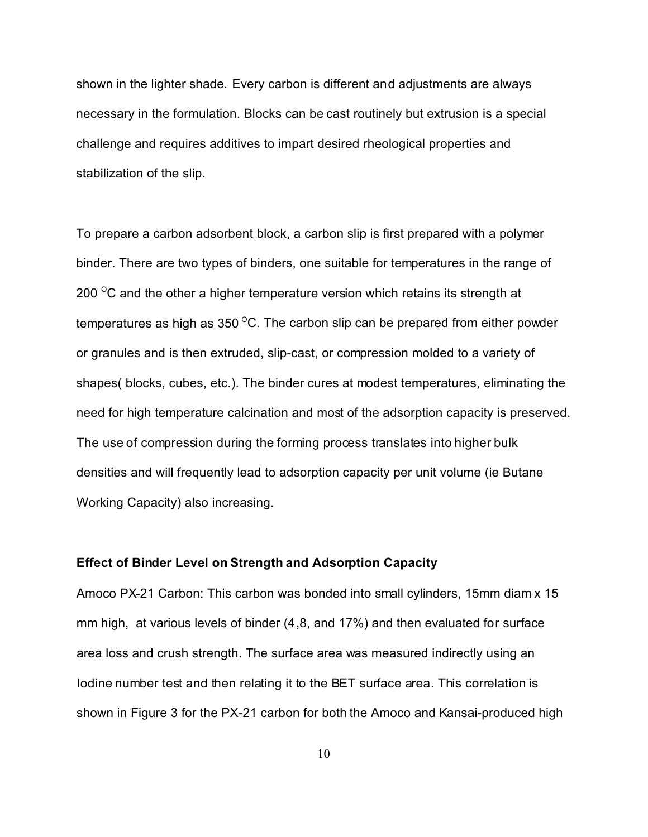shown in the lighter shade. Every carbon is different and adjustments are always necessary in the formulation. Blocks can be cast routinely but extrusion is a special challenge and requires additives to impart desired rheological properties and stabilization of the slip.

To prepare a carbon adsorbent block, a carbon slip is first prepared with a polymer binder. There are two types of binders, one suitable for temperatures in the range of 200  $\mathrm{^{\circ}C}$  and the other a higher temperature version which retains its strength at temperatures as high as  $350^{\circ}$ C. The carbon slip can be prepared from either powder or granules and is then extruded, slip-cast, or compression molded to a variety of shapes( blocks, cubes, etc.). The binder cures at modest temperatures, eliminating the need for high temperature calcination and most of the adsorption capacity is preserved. The use of compression during the forming process translates into higher bulk densities and will frequently lead to adsorption capacity per unit volume (ie Butane Working Capacity) also increasing.

## **Effect of Binder Level on Strength and Adsorption Capacity**

Amoco PX-21 Carbon: This carbon was bonded into small cylinders, 15mm diam x 15 mm high, at various levels of binder (4,8, and 17%) and then evaluated for surface area loss and crush strength. The surface area was measured indirectly using an Iodine number test and then relating it to the BET surface area. This correlation is shown in Figure 3 for the PX-21 carbon for both the Amoco and Kansai-produced high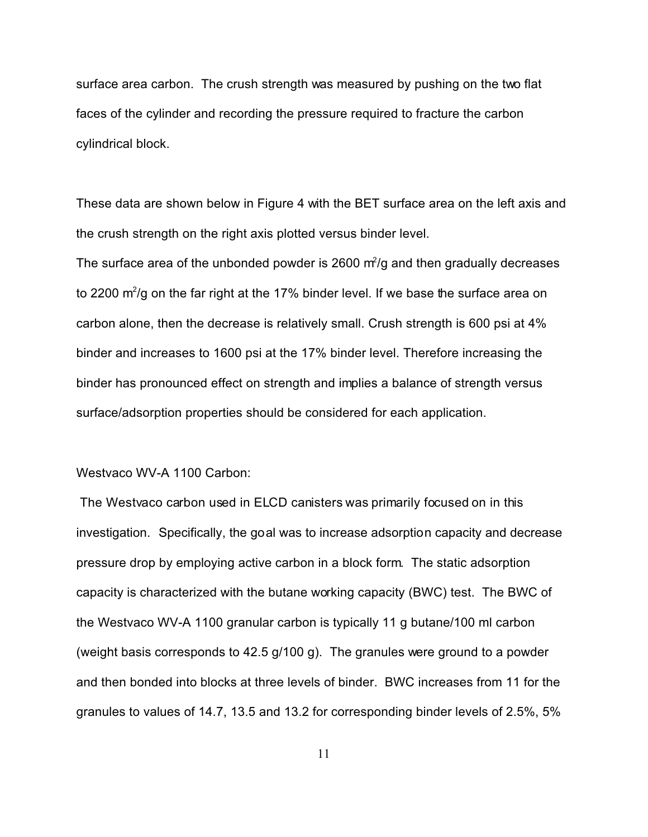surface area carbon. The crush strength was measured by pushing on the two flat faces of the cylinder and recording the pressure required to fracture the carbon cylindrical block.

These data are shown below in Figure 4 with the BET surface area on the left axis and the crush strength on the right axis plotted versus binder level.

The surface area of the unbonded powder is 2600  $m^2$ /g and then gradually decreases to 2200 m $^{2}$ /g on the far right at the 17% binder level. If we base the surface area on carbon alone, then the decrease is relatively small. Crush strength is 600 psi at 4% binder and increases to 1600 psi at the 17% binder level. Therefore increasing the binder has pronounced effect on strength and implies a balance of strength versus surface/adsorption properties should be considered for each application.

# Westvaco WV-A 1100 Carbon:

 The Westvaco carbon used in ELCD canisters was primarily focused on in this investigation. Specifically, the goal was to increase adsorption capacity and decrease pressure drop by employing active carbon in a block form. The static adsorption capacity is characterized with the butane working capacity (BWC) test. The BWC of the Westvaco WV-A 1100 granular carbon is typically 11 g butane/100 ml carbon (weight basis corresponds to 42.5 g/100 g). The granules were ground to a powder and then bonded into blocks at three levels of binder. BWC increases from 11 for the granules to values of 14.7, 13.5 and 13.2 for corresponding binder levels of 2.5%, 5%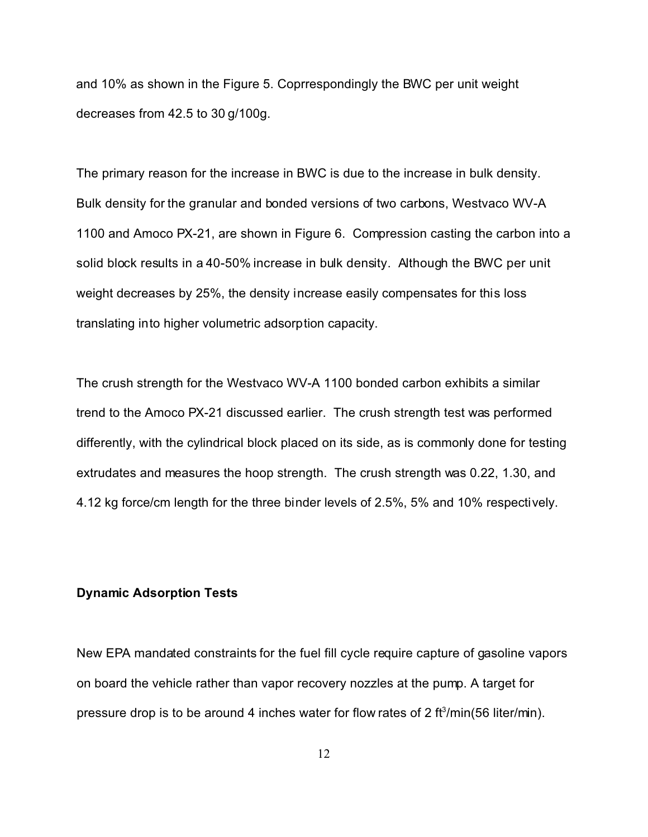and 10% as shown in the Figure 5. Coprrespondingly the BWC per unit weight decreases from 42.5 to 30 g/100g.

The primary reason for the increase in BWC is due to the increase in bulk density. Bulk density for the granular and bonded versions of two carbons, Westvaco WV-A 1100 and Amoco PX-21, are shown in Figure 6. Compression casting the carbon into a solid block results in a 40-50% increase in bulk density. Although the BWC per unit weight decreases by 25%, the density increase easily compensates for this loss translating into higher volumetric adsorption capacity.

The crush strength for the Westvaco WV-A 1100 bonded carbon exhibits a similar trend to the Amoco PX-21 discussed earlier. The crush strength test was performed differently, with the cylindrical block placed on its side, as is commonly done for testing extrudates and measures the hoop strength. The crush strength was 0.22, 1.30, and 4.12 kg force/cm length for the three binder levels of 2.5%, 5% and 10% respectively.

# **Dynamic Adsorption Tests**

New EPA mandated constraints for the fuel fill cycle require capture of gasoline vapors on board the vehicle rather than vapor recovery nozzles at the pump. A target for pressure drop is to be around 4 inches water for flow rates of 2 ft $\delta$ /min(56 liter/min).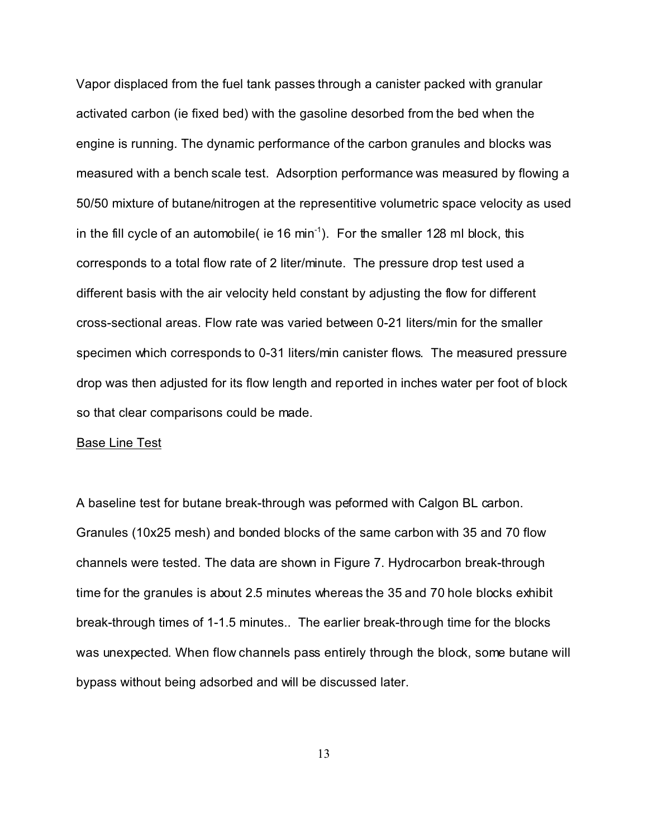Vapor displaced from the fuel tank passes through a canister packed with granular activated carbon (ie fixed bed) with the gasoline desorbed from the bed when the engine is running. The dynamic performance of the carbon granules and blocks was measured with a bench scale test. Adsorption performance was measured by flowing a 50/50 mixture of butane/nitrogen at the representitive volumetric space velocity as used in the fill cycle of an automobile( ie 16 min<sup>-1</sup>). For the smaller 128 ml block, this corresponds to a total flow rate of 2 liter/minute. The pressure drop test used a different basis with the air velocity held constant by adjusting the flow for different cross-sectional areas. Flow rate was varied between 0-21 liters/min for the smaller specimen which corresponds to 0-31 liters/min canister flows. The measured pressure drop was then adjusted for its flow length and reported in inches water per foot of block so that clear comparisons could be made.

#### Base Line Test

A baseline test for butane break-through was peformed with Calgon BL carbon. Granules (10x25 mesh) and bonded blocks of the same carbon with 35 and 70 flow channels were tested. The data are shown in Figure 7. Hydrocarbon break-through time for the granules is about 2.5 minutes whereas the 35 and 70 hole blocks exhibit break-through times of 1-1.5 minutes.. The earlier break-through time for the blocks was unexpected. When flow channels pass entirely through the block, some butane will bypass without being adsorbed and will be discussed later.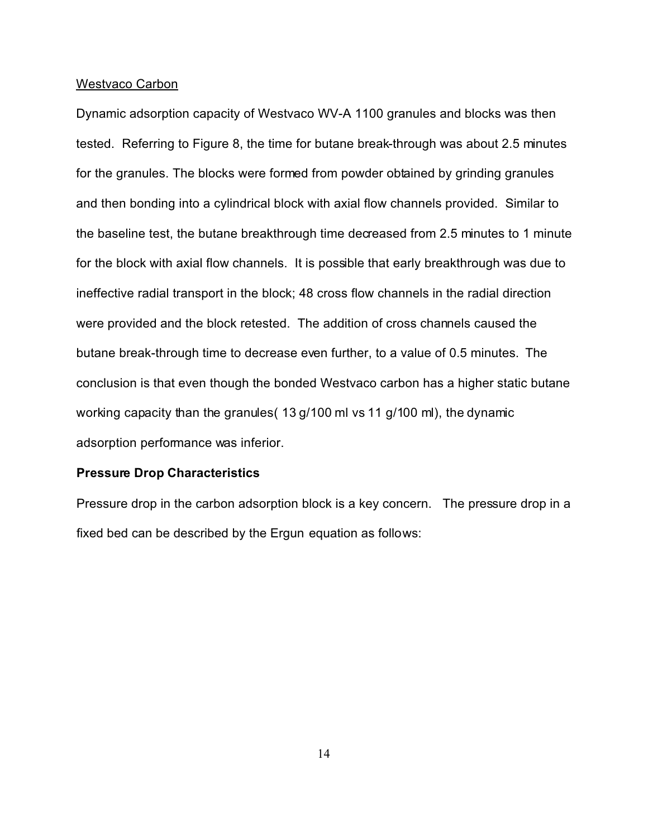### Westvaco Carbon

Dynamic adsorption capacity of Westvaco WV-A 1100 granules and blocks was then tested. Referring to Figure 8, the time for butane break-through was about 2.5 minutes for the granules. The blocks were formed from powder obtained by grinding granules and then bonding into a cylindrical block with axial flow channels provided. Similar to the baseline test, the butane breakthrough time decreased from 2.5 minutes to 1 minute for the block with axial flow channels. It is possible that early breakthrough was due to ineffective radial transport in the block; 48 cross flow channels in the radial direction were provided and the block retested. The addition of cross channels caused the butane break-through time to decrease even further, to a value of 0.5 minutes. The conclusion is that even though the bonded Westvaco carbon has a higher static butane working capacity than the granules( 13 g/100 ml vs 11 g/100 ml), the dynamic adsorption performance was inferior.

## **Pressure Drop Characteristics**

Pressure drop in the carbon adsorption block is a key concern. The pressure drop in a fixed bed can be described by the Ergun equation as follows: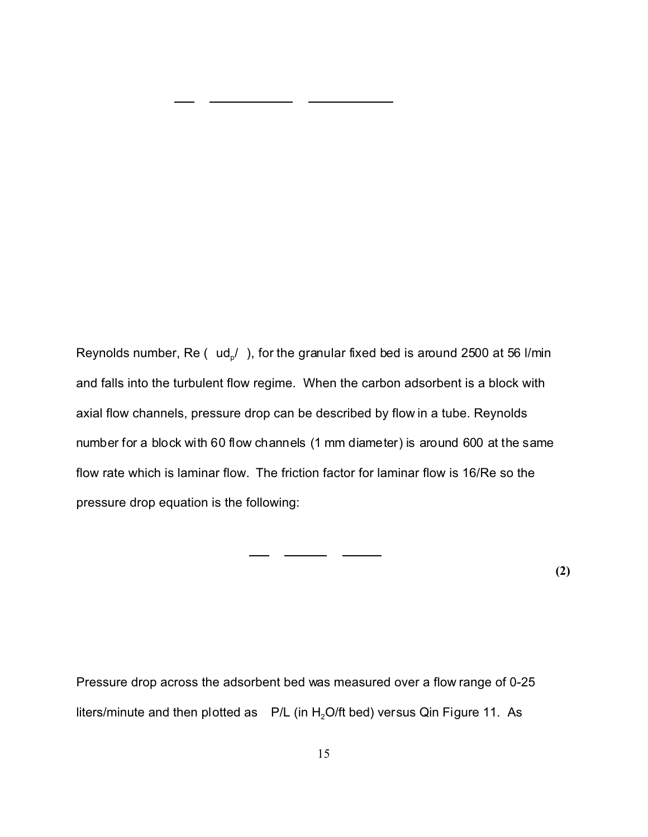Reynolds number, Re (  $\,$  ud $_{\rm p}$ /  $\,$ ), for the granular fixed bed is around 2500 at 56 l/min and falls into the turbulent flow regime. When the carbon adsorbent is a block with axial flow channels, pressure drop can be described by flow in a tube. Reynolds number for a block with 60 flow channels (1 mm diameter) is around 600 at the same flow rate which is laminar flow. The friction factor for laminar flow is 16/Re so the pressure drop equation is the following:

**(2)**

Pressure drop across the adsorbent bed was measured over a flow range of 0-25 liters/minute and then plotted as  $P/L$  (in  $H<sub>2</sub>O$ /ft bed) versus Qin Figure 11. As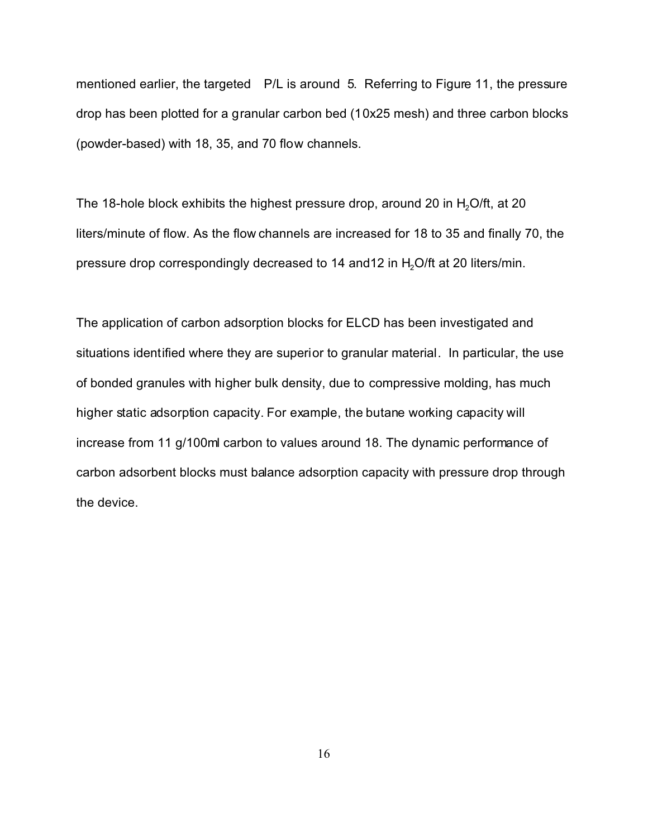mentioned earlier, the targeted P/L is around 5. Referring to Figure 11, the pressure drop has been plotted for a granular carbon bed (10x25 mesh) and three carbon blocks (powder-based) with 18, 35, and 70 flow channels.

The 18-hole block exhibits the highest pressure drop, around 20 in  $H<sub>2</sub>O/ft$ , at 20 liters/minute of flow. As the flow channels are increased for 18 to 35 and finally 70, the pressure drop correspondingly decreased to 14 and 12 in H<sub>2</sub>O/ft at 20 liters/min.

The application of carbon adsorption blocks for ELCD has been investigated and situations identified where they are superior to granular material. In particular, the use of bonded granules with higher bulk density, due to compressive molding, has much higher static adsorption capacity. For example, the butane working capacity will increase from 11 g/100ml carbon to values around 18. The dynamic performance of carbon adsorbent blocks must balance adsorption capacity with pressure drop through the device.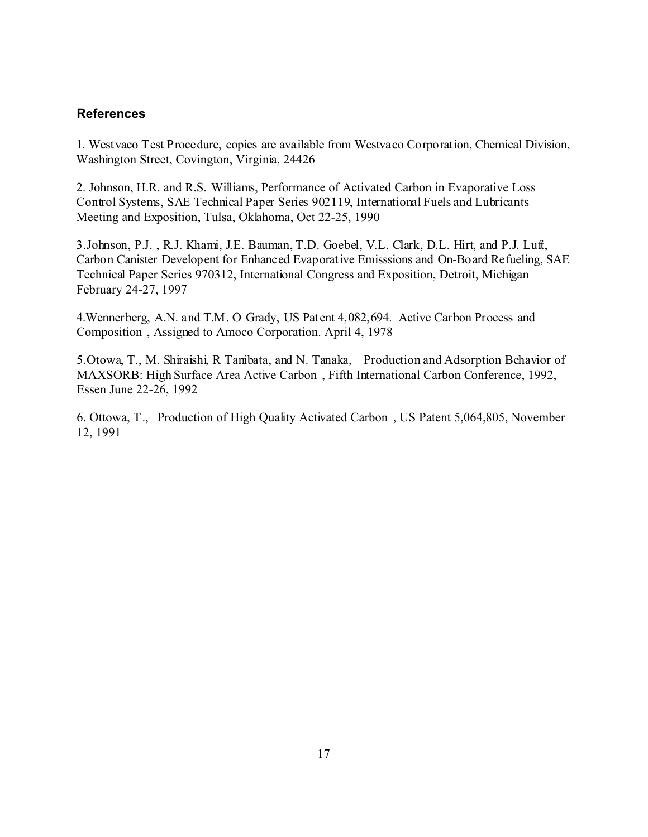# **References**

1. Westvaco Test Procedure, copies are available from Westvaco Corporation, Chemical Division, Washington Street, Covington, Virginia, 24426

2. Johnson, H.R. and R.S. Williams, Performance of Activated Carbon in Evaporative Loss Control Systems, SAE Technical Paper Series 902119, International Fuels and Lubricants Meeting and Exposition, Tulsa, Oklahoma, Oct 22-25, 1990

3.Johnson, P.J. , R.J. Khami, J.E. Bauman, T.D. Goebel, V.L. Clark, D.L. Hirt, and P.J. Luft, Carbon Canister Developent for Enhanced Evaporative Emisssions and On-Board Refueling, SAE Technical Paper Series 970312, International Congress and Exposition, Detroit, Michigan February 24-27, 1997

4.Wennerberg, A.N. and T.M. O Grady, US Patent 4,082,694. Active Carbon Process and Composition , Assigned to Amoco Corporation. April 4, 1978

5.Otowa, T., M. Shiraishi, R Tanibata, and N. Tanaka, Production and Adsorption Behavior of MAXSORB: High Surface Area Active Carbon , Fifth International Carbon Conference, 1992, Essen June 22-26, 1992

6. Ottowa, T., Production of High Quality Activated Carbon , US Patent 5,064,805, November 12, 1991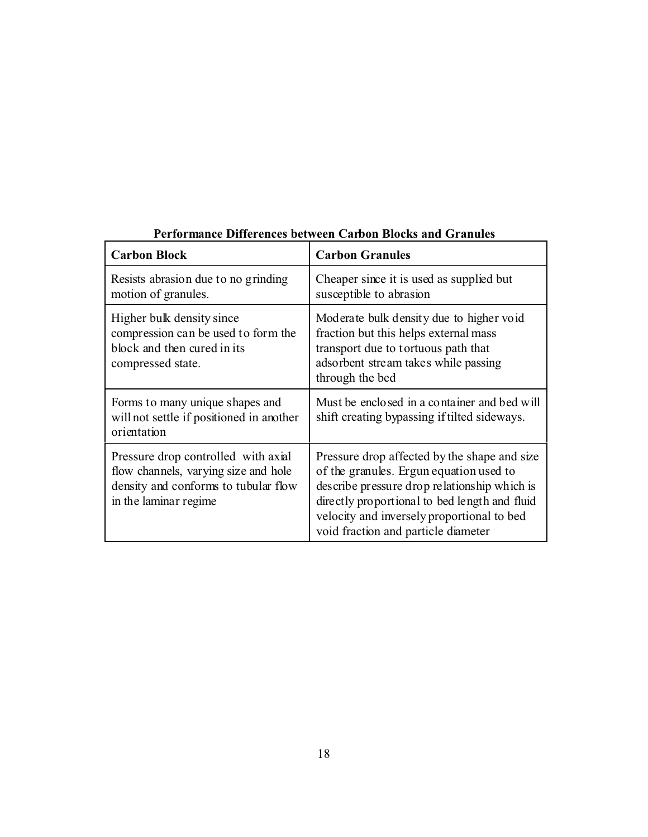| <b>Carbon Block</b>                                                                                                                           | <b>Carbon Granules</b>                                                                                                                                                                                                                                                        |
|-----------------------------------------------------------------------------------------------------------------------------------------------|-------------------------------------------------------------------------------------------------------------------------------------------------------------------------------------------------------------------------------------------------------------------------------|
| Resists abrasion due to no grinding<br>motion of granules.                                                                                    | Cheaper since it is used as supplied but<br>susceptible to abrasion                                                                                                                                                                                                           |
| Higher bulk density since<br>compression can be used to form the<br>block and then cured in its<br>compressed state.                          | Moderate bulk density due to higher void<br>fraction but this helps external mass<br>transport due to tortuous path that<br>adsorbent stream takes while passing<br>through the bed                                                                                           |
| Forms to many unique shapes and<br>will not settle if positioned in another<br>orientation                                                    | Must be enclosed in a container and bed will<br>shift creating by passing if tilted sideways.                                                                                                                                                                                 |
| Pressure drop controlled with axial<br>flow channels, varying size and hole<br>density and conforms to tubular flow<br>in the laminar regime. | Pressure drop affected by the shape and size<br>of the granules. Ergun equation used to<br>describe pressure drop relationship which is<br>directly proportional to bed length and fluid<br>velocity and inversely proportional to bed<br>void fraction and particle diameter |

# **Performance Differences between Carbon Blocks and Granules**